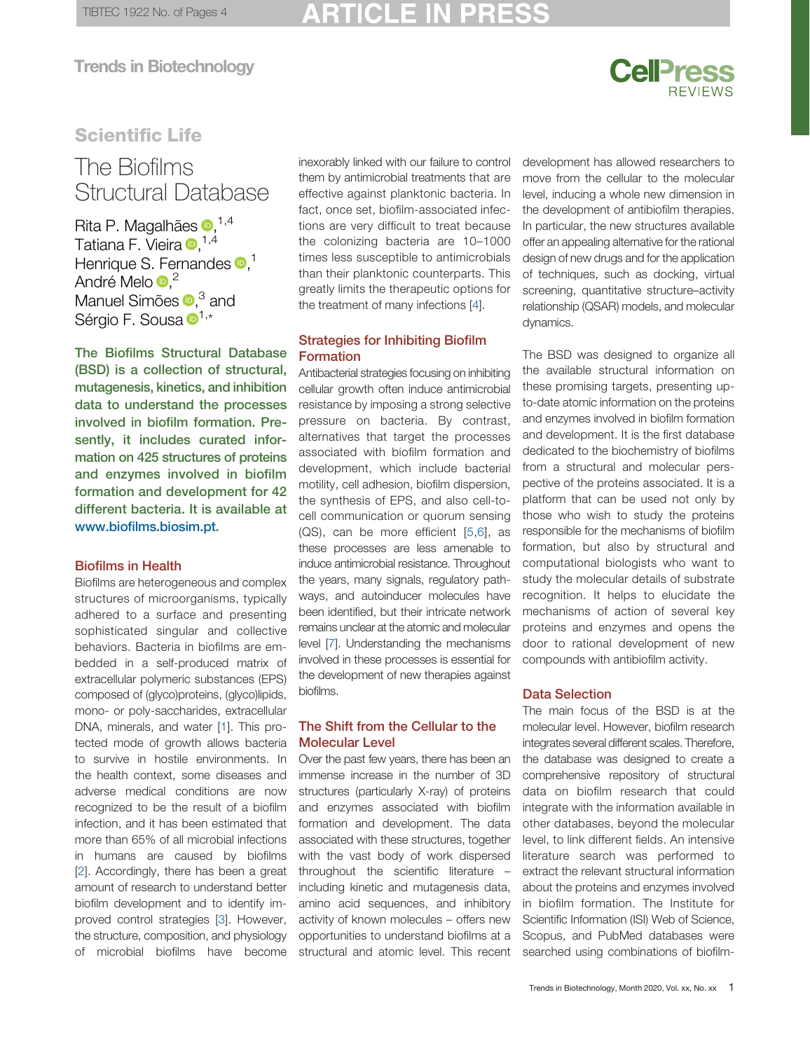# **CellPress**

## Scientific Life

# **The Biofilms<br>Structural Database**

Rita P. Magalhães <sup>(1,4)</sup> Tatiana F. Vieira D, <sup>[1,4](#page-3-0)</sup> Henrique S. Fernandes  $\bullet$ [,](0000-0002-9280-1838)<sup>[1](#page-3-0)</sup> André Melo D,<sup>[2](#page-3-0)</sup> Manuel Simões D[,](0000-0002-3355-4398)<sup>[3](#page-3-0)</sup> and Sérgio F. Sousa D<sup>[1,\\*](#page-3-0)</sup>

The Biofilms Structural Database (BSD) is a collection of structural, mutagenesis, kinetics, and inhibition data to understand the processes involved in biofilm formation. Presently, it includes curated information on 425 structures of proteins and enzymes involved in biofilm formation and development for 42 different bacteria. It is available at www.biofi[lms.biosim.pt.](http://www.biofilms.biosim.pt)

#### Biofilms in Health

Biofilms are heterogeneous and complex structures of microorganisms, typically adhered to a surface and presenting sophisticated singular and collective behaviors. Bacteria in biofilms are embedded in a self-produced matrix of extracellular polymeric substances (EPS) composed of (glyco)proteins, (glyco)lipids, mono- or poly-saccharides, extracellular DNA, minerals, and water [\[1](#page-3-0)]. This protected mode of growth allows bacteria to survive in hostile environments. In the health context, some diseases and adverse medical conditions are now recognized to be the result of a biofilm infection, and it has been estimated that more than 65% of all microbial infections in humans are caused by biofilms [[2](#page-3-0)]. Accordingly, there has been a great amount of research to understand better biofilm development and to identify improved control strategies [[3\]](#page-3-0). However, the structure, composition, and physiology of microbial biofilms have become inexorably linked with our failure to control them by antimicrobial treatments that are effective against planktonic bacteria. In fact, once set, biofilm-associated infections are very difficult to treat because the colonizing bacteria are 10–1000 times less susceptible to antimicrobials than their planktonic counterparts. This greatly limits the therapeutic options for the treatment of many infections [[4\]](#page-3-0).

#### Strategies for Inhibiting Biofilm Formation

Antibacterial strategies focusing on inhibiting cellular growth often induce antimicrobial resistance by imposing a strong selective pressure on bacteria. By contrast, alternatives that target the processes associated with biofilm formation and development, which include bacterial motility, cell adhesion, biofilm dispersion, the synthesis of EPS, and also cell-tocell communication or quorum sensing (QS), can be more efficient [[5](#page-3-0),[6\]](#page-3-0), as these processes are less amenable to induce antimicrobial resistance. Throughout the years, many signals, regulatory pathways, and autoinducer molecules have been identified, but their intricate network remains unclear at the atomic and molecular level [[7\]](#page-3-0). Understanding the mechanisms involved in these processes is essential for the development of new therapies against biofilms.

#### The Shift from the Cellular to the Molecular Level

Over the past few years, there has been an immense increase in the number of 3D structures (particularly X-ray) of proteins and enzymes associated with biofilm formation and development. The data associated with these structures, together with the vast body of work dispersed throughout the scientific literature – including kinetic and mutagenesis data, amino acid sequences, and inhibitory activity of known molecules – offers new opportunities to understand biofilms at a structural and atomic level. This recent development has allowed researchers to move from the cellular to the molecular level, inducing a whole new dimension in the development of antibiofilm therapies. In particular, the new structures available offer an appealing alternative for the rational design of new drugs and for the application of techniques, such as docking, virtual screening, quantitative structure–activity relationship (QSAR) models, and molecular dynamics.

The BSD was designed to organize all the available structural information on these promising targets, presenting upto-date atomic information on the proteins and enzymes involved in biofilm formation and development. It is the first database dedicated to the biochemistry of biofilms from a structural and molecular perspective of the proteins associated. It is a platform that can be used not only by those who wish to study the proteins responsible for the mechanisms of biofilm formation, but also by structural and computational biologists who want to study the molecular details of substrate recognition. It helps to elucidate the mechanisms of action of several key proteins and enzymes and opens the door to rational development of new compounds with antibiofilm activity.

#### Data Selection

The main focus of the BSD is at the molecular level. However, biofilm research integrates several different scales. Therefore, the database was designed to create a comprehensive repository of structural data on biofilm research that could integrate with the information available in other databases, beyond the molecular level, to link different fields. An intensive literature search was performed to extract the relevant structural information about the proteins and enzymes involved in biofilm formation. The Institute for Scientific Information (ISI) Web of Science, Scopus, and PubMed databases were searched using combinations of biofilm-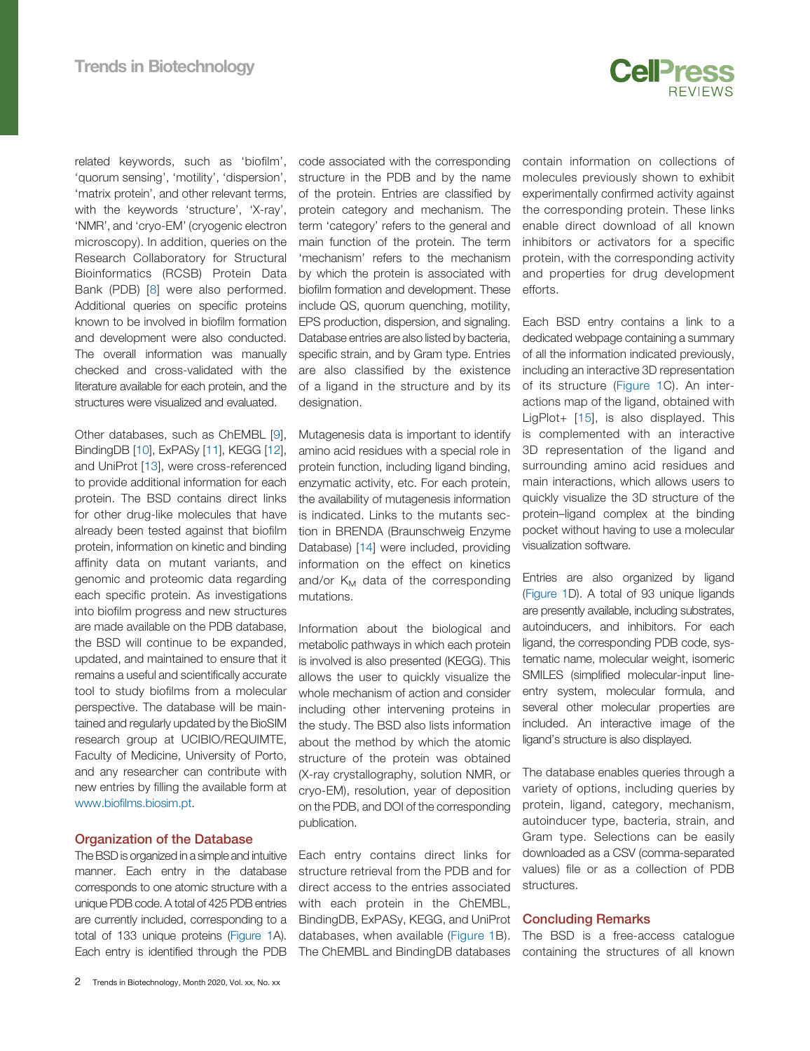

related keywords, such as 'biofilm', 'quorum sensing', 'motility', 'dispersion', 'matrix protein', and other relevant terms, with the keywords 'structure', 'X-ray', 'NMR', and 'cryo-EM' (cryogenic electron microscopy). In addition, queries on the Research Collaboratory for Structural Bioinformatics (RCSB) Protein Data Bank (PDB) [[8\]](#page-3-0) were also performed. Additional queries on specific proteins known to be involved in biofilm formation and development were also conducted. The overall information was manually checked and cross-validated with the literature available for each protein, and the structures were visualized and evaluated.

Other databases, such as ChEMBL [[9\]](#page-3-0), BindingDB [\[10](#page-3-0)], ExPASy [\[11](#page-3-0)], KEGG [\[12](#page-3-0)], and UniProt [\[13\]](#page-3-0), were cross-referenced to provide additional information for each protein. The BSD contains direct links for other drug-like molecules that have already been tested against that biofilm protein, information on kinetic and binding affinity data on mutant variants, and genomic and proteomic data regarding each specific protein. As investigations into biofilm progress and new structures are made available on the PDB database, the BSD will continue to be expanded, updated, and maintained to ensure that it remains a useful and scientifically accurate tool to study biofilms from a molecular perspective. The database will be maintained and regularly updated by the BioSIM research group at UCIBIO/REQUIMTE, Faculty of Medicine, University of Porto, and any researcher can contribute with new entries by filling the available form at www.biofi[lms.biosim.pt.](http://www.biofilms.biosim.pt)

#### Organization of the Database

The BSD is organized in a simple and intuitive manner. Each entry in the database corresponds to one atomic structure with a unique PDB code. A total of 425 PDB entries are currently included, corresponding to a total of 133 unique proteins ([Figure 1A](#page-2-0)). Each entry is identified through the PDB

code associated with the corresponding structure in the PDB and by the name of the protein. Entries are classified by protein category and mechanism. The term 'category' refers to the general and main function of the protein. The term 'mechanism' refers to the mechanism by which the protein is associated with biofilm formation and development. These include QS, quorum quenching, motility, EPS production, dispersion, and signaling. Database entries are also listed by bacteria, specific strain, and by Gram type. Entries are also classified by the existence of a ligand in the structure and by its designation.

Mutagenesis data is important to identify amino acid residues with a special role in protein function, including ligand binding, enzymatic activity, etc. For each protein, the availability of mutagenesis information is indicated. Links to the mutants section in BRENDA (Braunschweig Enzyme Database) [[14\]](#page-3-0) were included, providing information on the effect on kinetics and/or  $K_M$  data of the corresponding mutations.

Information about the biological and metabolic pathways in which each protein is involved is also presented (KEGG). This allows the user to quickly visualize the whole mechanism of action and consider including other intervening proteins in the study. The BSD also lists information about the method by which the atomic structure of the protein was obtained (X-ray crystallography, solution NMR, or cryo-EM), resolution, year of deposition on the PDB, and DOI of the corresponding publication.

Each entry contains direct links for structure retrieval from the PDB and for direct access to the entries associated with each protein in the ChEMBL, BindingDB, ExPASy, KEGG, and UniProt databases, when available ([Figure 1](#page-2-0)B). The ChEMBL and BindingDB databases contain information on collections of molecules previously shown to exhibit experimentally confirmed activity against the corresponding protein. These links enable direct download of all known inhibitors or activators for a specific protein, with the corresponding activity and properties for drug development efforts.

Each BSD entry contains a link to a dedicated webpage containing a summary of all the information indicated previously, including an interactive 3D representation of its structure ([Figure 1](#page-2-0)C). An interactions map of the ligand, obtained with LigPlot+ [\[15\]](#page-3-0), is also displayed. This is complemented with an interactive 3D representation of the ligand and surrounding amino acid residues and main interactions, which allows users to quickly visualize the 3D structure of the protein–ligand complex at the binding pocket without having to use a molecular visualization software.

Entries are also organized by ligand [\(Figure 1](#page-2-0)D). A total of 93 unique ligands are presently available, including substrates, autoinducers, and inhibitors. For each ligand, the corresponding PDB code, systematic name, molecular weight, isomeric SMILES (simplified molecular-input lineentry system, molecular formula, and several other molecular properties are included. An interactive image of the ligand's structure is also displayed.

The database enables queries through a variety of options, including queries by protein, ligand, category, mechanism, autoinducer type, bacteria, strain, and Gram type. Selections can be easily downloaded as a CSV (comma-separated values) file or as a collection of PDB structures.

#### Concluding Remarks

The BSD is a free-access catalogue containing the structures of all known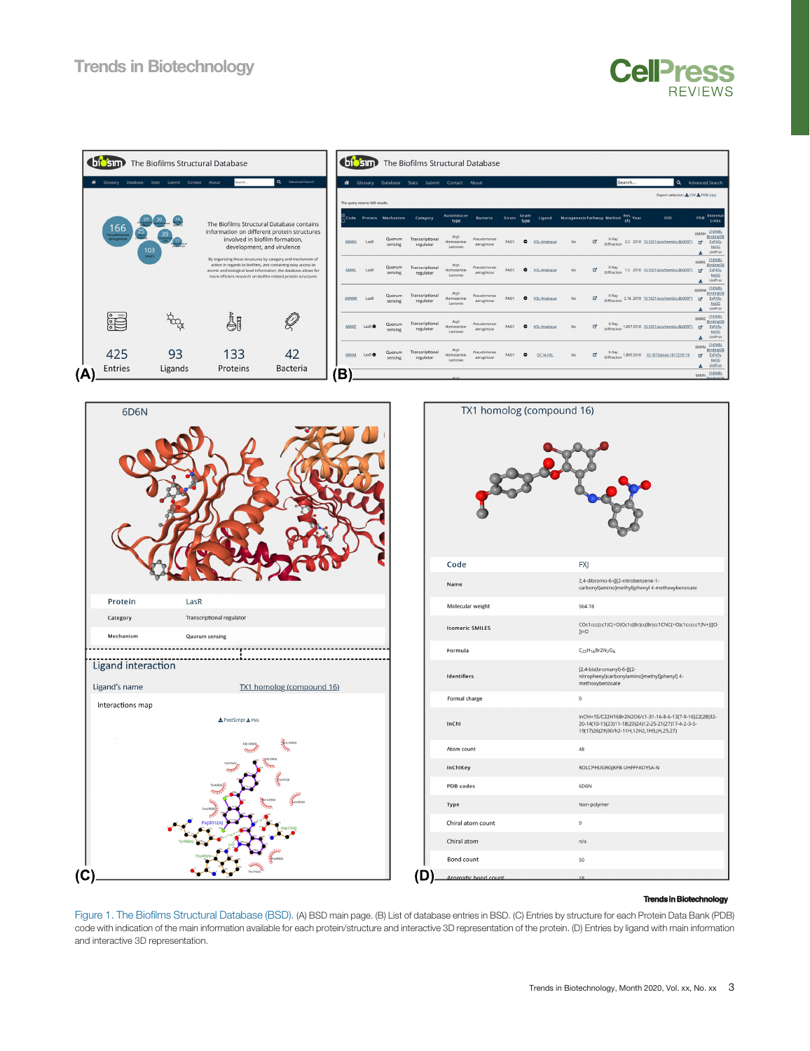<span id="page-2-0"></span>

| The Biofilms Structural Database<br><b>biosin</b> |                             |                          |                         |                                                                                                                                                                                                                                                                  |         |                       |   |             | ( biosim)                      |                                             | The Biofilms Structural Database |                                  |                           |                  |                      |                     |                                      |                                     |                      |        |                                                           |  |                                                                                                              |
|---------------------------------------------------|-----------------------------|--------------------------|-------------------------|------------------------------------------------------------------------------------------------------------------------------------------------------------------------------------------------------------------------------------------------------------------|---------|-----------------------|---|-------------|--------------------------------|---------------------------------------------|----------------------------------|----------------------------------|---------------------------|------------------|----------------------|---------------------|--------------------------------------|-------------------------------------|----------------------|--------|-----------------------------------------------------------|--|--------------------------------------------------------------------------------------------------------------|
|                                                   | <b>W</b> Glossary           | Database<br><b>Stats</b> | Contact About<br>Submit |                                                                                                                                                                                                                                                                  | Search. | Q Advanced Search     |   | & Glossary  |                                | Database                                    | Stats<br>Submit                  | Contact About                    |                           |                  |                      |                     |                                      |                                     |                      | Search |                                                           |  | Q Advanced Search                                                                                            |
|                                                   |                             |                          | 39                      |                                                                                                                                                                                                                                                                  |         |                       |   |             | The query returns 429 results. |                                             |                                  |                                  |                           |                  |                      |                     |                                      | Export selection: & CSV & PDB (zip) |                      |        |                                                           |  |                                                                                                              |
|                                                   |                             |                          |                         | The Biofilms Structural Database contains                                                                                                                                                                                                                        |         |                       |   |             |                                | $\stackrel{<}{\sim}$ Code Protein Mechanism | Category                         | Autoinducer<br>type              | <b>Bacteria</b>           | Strain           | Gram<br>tvpe         | Ligand              | Mutagenesis Pathway Method Res. Year |                                     |                      |        | DOI                                                       |  | Externa<br>PDB<br>Links                                                                                      |
|                                                   | 166<br>seudama<br>aeruginos | ڍر<br>103<br>others      |                         | information on different protein structures<br>involved in biofilm formation.<br>development, and virulence                                                                                                                                                      |         |                       |   | <b>6MWH</b> | LasR                           | Quorum<br>sensing                           | Transcriptional<br>regulator     | Acyl-<br>Homoserine-<br>Lactones | Pseudomonas<br>aeruginosa | PAO1             | ۰                    | <b>HSL-Analogue</b> | No                                   | $\Box$                              | X-Ray<br>Diffraction |        | 2.2 2018 10.1021/acschembio.8b00971                       |  | 6MWH ChEMBL<br><b>BindingDB</b><br>ExPASy<br>$\mathbb{R}^n$<br>KeGG<br>UniProt<br>土                          |
|                                                   |                             |                          |                         | By organizing these structures by category and mechanism of<br>action in regards to biofilms, and containing easy access to<br>atomic and biological level information, the database allows for<br>more efficient research on biofilm-related protein structures |         |                       |   | 6MWL        | LasR                           | Quorum<br>sensing                           | Transcriptional<br>regulator     | Acyl-<br>Homoserine-<br>Lactones | Pseudomonas<br>aeruginosa | PAO1             |                      | <b>HSL-Analogue</b> | No                                   | $\Box$                              | X-Ray<br>Diffraction |        | 1.5 2018 10.1021/acschembio.8b00971                       |  | ChEMBI<br>6MWL<br><b>BindingDI</b><br>ExPASy<br>$\mathbf{z}$<br>KeGG<br>UniProt<br>土                         |
|                                                   |                             |                          |                         |                                                                                                                                                                                                                                                                  |         |                       |   | 6MWW        | LasR                           | Quorum<br>sensing                           | Transcriptional<br>regulator     | Acyl-<br>Homoserine-<br>Lactones | Pseudomonas<br>aeruginosa | PAO1             | ۰                    | <b>HSL-Analogue</b> | No                                   | ₫                                   |                      |        | X-Ray<br>Diffraction 2.76 2018 10.1021/acschembio.8b00971 |  | ChEMBL<br>6MWW<br><b>BindingDI</b><br>ExPASy<br>$\mathbf{z}$<br>KeGG<br>UniProt<br>玉                         |
|                                                   | <b>Sept</b>                 |                          | tog                     | ÅI                                                                                                                                                                                                                                                               |         | Q                     |   | 6MWZ        | LasR O                         | Quorum<br>sensing                           | Transcriptional<br>regulator     | Acyl<br>Homoserine<br>Lactones   | Pseudomonas<br>aeruginosa | PAO <sub>1</sub> | $\ddot{\phantom{1}}$ | <b>HSL-Analogue</b> | No                                   | 区                                   | X-Ray<br>Diffraction |        | 1.657 2018 10.1021/acschembio.8b00971                     |  | 6MWZ ChEMBL<br><b>BindingDE</b><br>ExPASy<br>$\mathbb{Z}^*$<br>KeGG<br>UniProt<br>$\pm$                      |
|                                                   | 425<br><b>Entries</b>       |                          | 93<br>Ligands           | 133<br>Proteins                                                                                                                                                                                                                                                  |         | 42<br><b>Bacteria</b> |   | 6MVM        | LasR <sub>O</sub>              | Quorum<br>sensing                           | Transcriptional<br>regulator     | Acyl-<br>Homoserine-<br>Lactones | Pseudomonas<br>aeruginosa | PAO1             |                      | OC14-HSI            | No                                   | $\mathbf{G}^{\star}$                |                      |        | X-Ray<br>Diffraction 1.895 2018 10.1073/pnas.1817239116   |  | ChEMBL<br><b>6MVM</b><br><b>BindingDE</b><br>ExPASy<br>$\mathbf{G}^{\bullet}$<br>KeGG<br>$\triangle$ UniProt |
| (A)                                               |                             |                          |                         |                                                                                                                                                                                                                                                                  |         |                       | В |             |                                |                                             |                                  |                                  |                           |                  |                      |                     |                                      |                                     |                      |        |                                                           |  | 6MVN ChEMBL                                                                                                  |





#### **Trends in Biotechnology**

**CellPress** 

**REVIEWS** 

Figure 1. The Biofilms Structural Database (BSD). (A) BSD main page. (B) List of database entries in BSD. (C) Entries by structure for each Protein Data Bank (PDB) code with indication of the main information available for each protein/structure and interactive 3D representation of the protein. (D) Entries by ligand with main information and interactive 3D representation.